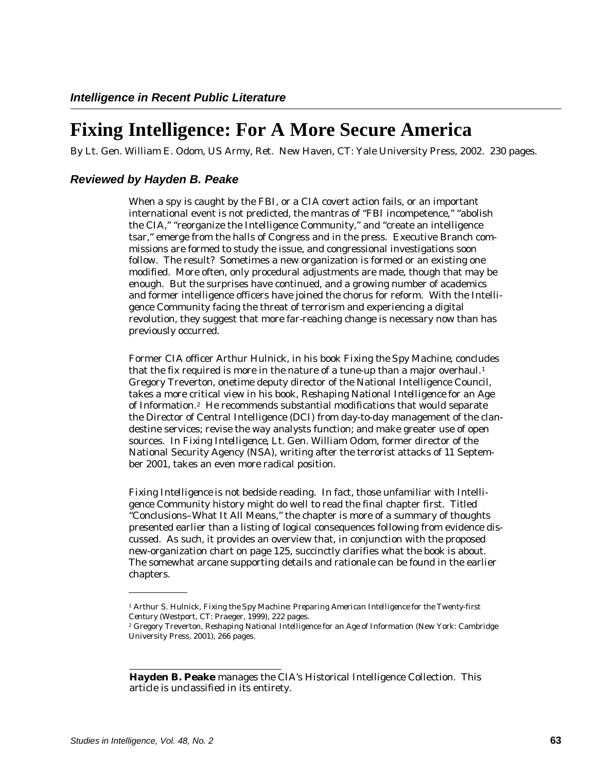## **Fixing Intelligence: For A More Secure America**

By Lt. Gen. William E. Odom, US Army, Ret. New Haven, CT: Yale University Press, 2002. 230 pages.

## *Reviewed by Hayden B. Peake*

When a spy is caught by the FBI, or a CIA covert action fails, or an important international event is not predicted, the mantras of "FBI incompetence," "abolish the CIA," "reorganize the Intelligence Community," and "create an intelligence tsar," emerge from the halls of Congress and in the press. Executive Branch commissions are formed to study the issue, and congressional investigations soon follow. The result? Sometimes a new organization is formed or an existing one modified. More often, only procedural adjustments are made, though that may be enough. But the surprises have continued, and a growing number of academics and former intelligence officers have joined the chorus for reform. With the Intelligence Community facing the threat of terrorism and experiencing a digital revolution, they suggest that more far-reaching change is necessary now than has previously occurred.

Former CIA officer Arthur Hulnick, in his book *Fixing the Spy Machine*, concludes that the fix required is more in the nature of a tune-up than a major overhaul. $^1$ Gregory Treverton, onetime deputy director of the National Intelligence Council, takes a more critical view in his book, *Reshaping National Intelligence for an Age*  of Information.<sup>2</sup> He recommends substantial modifications that would separate the Director of Central Intelligence (DCI) from day-to-day management of the clandestine services; revise the way analysts function; and make greater use of open sources. In *Fixing Intelligence*, Lt. Gen. William Odom, former director of the National Security Agency (NSA), writing after the terrorist attacks of 11 September 2001, takes an even more radical position.

*Fixing Intelligence* is not bedside reading. In fact, those unfamiliar with Intelligence Community history might do well to read the final chapter first. Titled "Conclusions–What It All Means," the chapter is more of a summary of thoughts presented earlier than a listing of logical consequences following from evidence discussed. As such, it provides an overview that, in conjunction with the proposed new-organization chart on page 125, succinctly clarifies what the book is about. The somewhat arcane supporting details and rationale can be found in the earlier chapters.

<sup>1</sup> Arthur S. Hulnick, *Fixing the Spy Machine: Preparing American Intelligence for the Twenty-first Century* (Westport, CT: Praeger, 1999), 222 pages. 2 Gregory Treverton, *Reshaping National Intelligence for an Age of Information* (New York: Cambridge

University Press, 2001), 266 pages.

**Hayden B. Peake** manages the CIA's Historical Intelligence Collection. This article is unclassified in its entirety.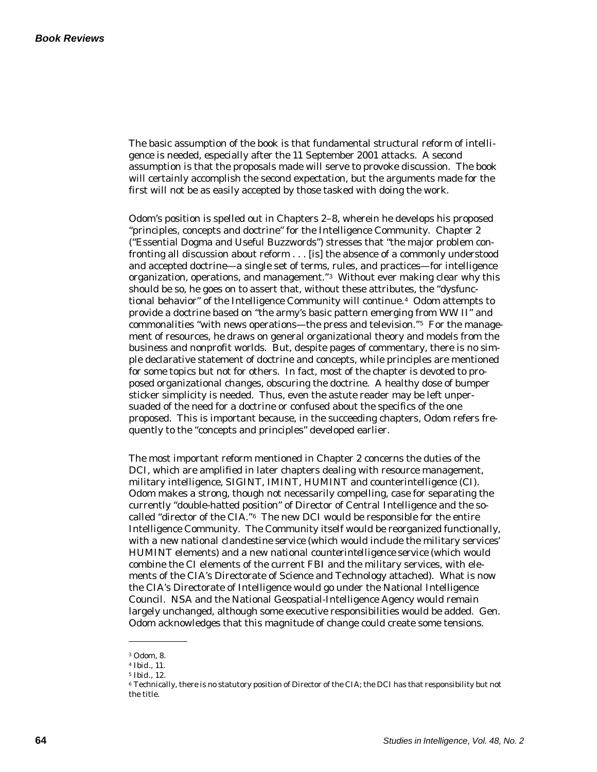The basic assumption of the book is that fundamental structural reform of intelligence is needed, especially after the 11 September 2001 attacks. A second assumption is that the proposals made will serve to provoke discussion. The book will certainly accomplish the second expectation, but the arguments made for the first will not be as easily accepted by those tasked with doing the work.

Odom's position is spelled out in Chapters 2–8, wherein he develops his proposed "principles, concepts and doctrine" for the Intelligence Community. Chapter 2 ("Essential Dogma and Useful Buzzwords") stresses that "the major problem confronting all discussion about reform . . . [is] the absence of a commonly understood and accepted doctrine—a single set of terms, rules, and practices—for intelligence organization, operations, and management." $^{\text{3}}$  Without ever making clear why this should be so, he goes on to assert that, without these attributes, the "dysfunctional behavior" of the Intelligence Community will continue.<sup>4</sup> Odom attempts to provide a doctrine based on "the army's basic pattern emerging from WW II" and commonalities "with news operations—the press and television." $^5$  For the management of resources, he draws on general organizational theory and models from the business and nonprofit worlds. But, despite pages of commentary, there is no simple declarative statement of doctrine and concepts, while principles are mentioned for some topics but not for others. In fact, most of the chapter is devoted to proposed organizational changes, obscuring the doctrine. A healthy dose of bumper sticker simplicity is needed. Thus, even the astute reader may be left unpersuaded of the need for a doctrine or confused about the specifics of the one proposed. This is important because, in the succeeding chapters, Odom refers frequently to the "concepts and principles" developed earlier.

The most important reform mentioned in Chapter 2 concerns the duties of the DCI, which are amplified in later chapters dealing with resource management, military intelligence, SIGINT, IMINT, HUMINT and counterintelligence (CI). Odom makes a strong, though not necessarily compelling, case for separating the currently "double-hatted position" of Director of Central Intelligence and the socalled "director of the CIA." $6$  The new DCI would be responsible for the entire Intelligence Community. The Community itself would be reorganized functionally, with a new *national clandestine service* (which would include the military services' HUMINT elements) and a new *national counterintelligence service* (which would combine the CI elements of the current FBI and the military services, with elements of the CIA's Directorate of Science and Technology attached). What is now the CIA's Directorate of Intelligence would go under the National Intelligence Council. NSA and the National Geospatial-Intelligence Agency would remain largely unchanged, although some executive responsibilities would be added. Gen. Odom acknowledges that this magnitude of change could create some tensions.

<sup>3</sup> Odom, 8.

<sup>4</sup>*Ibid.*, 11.

<sup>5</sup>*Ibid.*, 12.

<sup>6</sup> Technically, there is no statutory position of Director of the CIA; the DCI has that responsibility but not the title.